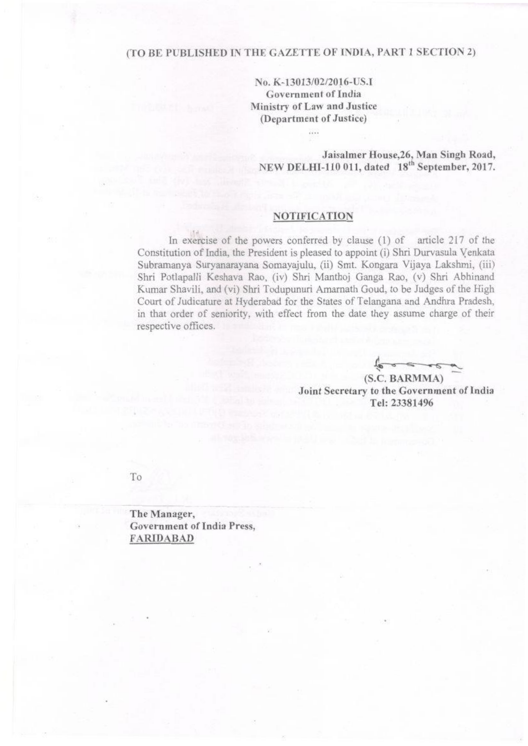## (TO BE PUBLISHED IN THE GAZETTE OF INDIA, PART 1 SECTION 2)

No. K-13013/02/2016-US.I Government of India Ministry of Law and Justice (Department of Justice)

 $\cdots$ 

Jaisalmer House, 26, Man Singh Road, NEW DELHI-110 011, dated 18<sup>th</sup> September, 2017.

## NOTIFICATION

In exercise of the powers conferred by clause  $(1)$  of article 217 of the Constitution of India, the President is pleased to appoint (i) Shri Durvasula Venkata Subramanya Suryanarayana Somayajulu, (ii) Smt. Kongara Vijaya Lakshmi, (iii) Shri Potlapalli Keshava Rao, (iv) Shri Manthoj Ganga Rao, (v) Shri Abhinand Kumar Shavili, and (vi) Shri Todupunuri Amarnath Goud. to be Judges of the High Court of Judicature at Hyderabad for the States of Telangana and Andhra Pradesh, in that order of seniority, with effect from the date they assume charge of their respective offices.

(S.C. BARMMA) Joint Secretary to the Government of India Tel: 23381496

To

The Manager, Government of India Press, FARIDABAD

,